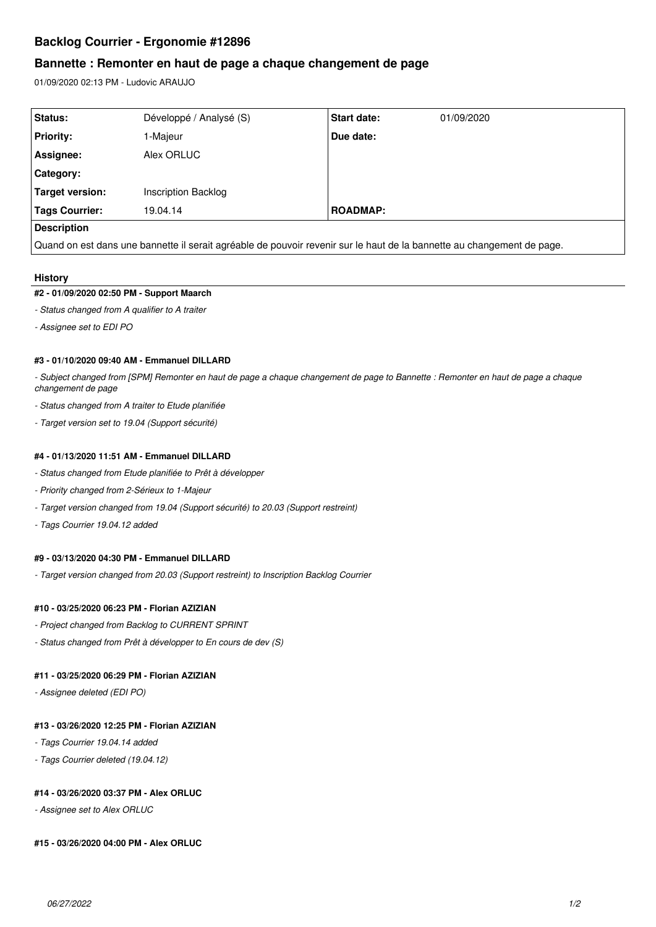# **Backlog Courrier - Ergonomie #12896**

## **Bannette : Remonter en haut de page a chaque changement de page**

01/09/2020 02:13 PM - Ludovic ARAUJO

| Status:            | Développé / Analysé (S) | Start date:     | 01/09/2020 |
|--------------------|-------------------------|-----------------|------------|
| <b>Priority:</b>   | 1-Majeur                | Due date:       |            |
| Assignee:          | Alex ORLUC              |                 |            |
| Category:          |                         |                 |            |
| Target version:    | Inscription Backlog     |                 |            |
| Tags Courrier:     | 19.04.14                | <b>ROADMAP:</b> |            |
| <b>Description</b> |                         |                 |            |

Quand on est dans une bannette il serait agréable de pouvoir revenir sur le haut de la bannette au changement de page.

### **History**

#### **#2 - 01/09/2020 02:50 PM - Support Maarch**

- *Status changed from A qualifier to A traiter*
- *Assignee set to EDI PO*

### **#3 - 01/10/2020 09:40 AM - Emmanuel DILLARD**

*- Subject changed from [SPM] Remonter en haut de page a chaque changement de page to Bannette : Remonter en haut de page a chaque changement de page*

- *Status changed from A traiter to Etude planifiée*
- *Target version set to 19.04 (Support sécurité)*

#### **#4 - 01/13/2020 11:51 AM - Emmanuel DILLARD**

- *Status changed from Etude planifiée to Prêt à développer*
- *Priority changed from 2-Sérieux to 1-Majeur*
- *Target version changed from 19.04 (Support sécurité) to 20.03 (Support restreint)*
- *Tags Courrier 19.04.12 added*

### **#9 - 03/13/2020 04:30 PM - Emmanuel DILLARD**

*- Target version changed from 20.03 (Support restreint) to Inscription Backlog Courrier*

### **#10 - 03/25/2020 06:23 PM - Florian AZIZIAN**

- *Project changed from Backlog to CURRENT SPRINT*
- *Status changed from Prêt à développer to En cours de dev (S)*

### **#11 - 03/25/2020 06:29 PM - Florian AZIZIAN**

*- Assignee deleted (EDI PO)*

#### **#13 - 03/26/2020 12:25 PM - Florian AZIZIAN**

- *Tags Courrier 19.04.14 added*
- *Tags Courrier deleted (19.04.12)*

### **#14 - 03/26/2020 03:37 PM - Alex ORLUC**

*- Assignee set to Alex ORLUC*

### **#15 - 03/26/2020 04:00 PM - Alex ORLUC**